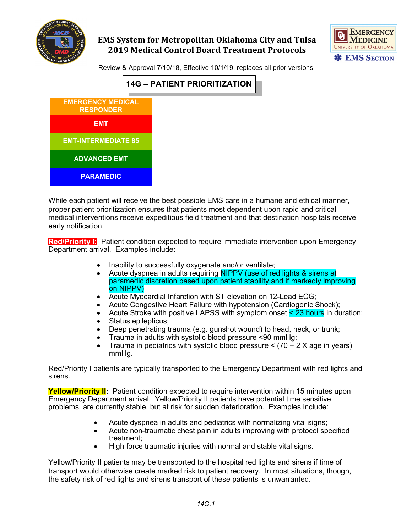



Review & Approval 7/10/18, Effective 10/1/19, replaces all prior versions



While each patient will receive the best possible EMS care in a humane and ethical manner, proper patient prioritization ensures that patients most dependent upon rapid and critical medical interventions receive expeditious field treatment and that destination hospitals receive early notification.

**Red/Priority I:** Patient condition expected to require immediate intervention upon Emergency Department arrival. Examples include:

- Inability to successfully oxygenate and/or ventilate;
- Acute dyspnea in adults requiring NIPPV (use of red lights & sirens at paramedic discretion based upon patient stability and if markedly improving on NIPPV)
- Acute Myocardial Infarction with ST elevation on 12-Lead ECG;
- Acute Congestive Heart Failure with hypotension (Cardiogenic Shock);
- Acute Stroke with positive LAPSS with symptom onset < 23 hours in duration;
- Status epilepticus;
- Deep penetrating trauma (e.g. gunshot wound) to head, neck, or trunk;
- Trauma in adults with systolic blood pressure <90 mmHg;
- Trauma in pediatrics with systolic blood pressure  $\leq$  (70 + 2 X age in years) mmHg.

Red/Priority I patients are typically transported to the Emergency Department with red lights and sirens.

**Yellow/Priority II:** Patient condition expected to require intervention within 15 minutes upon Emergency Department arrival. Yellow/Priority II patients have potential time sensitive problems, are currently stable, but at risk for sudden deterioration. Examples include:

- Acute dyspnea in adults and pediatrics with normalizing vital signs;
- Acute non-traumatic chest pain in adults improving with protocol specified treatment;
- High force traumatic injuries with normal and stable vital signs.

Yellow/Priority II patients may be transported to the hospital red lights and sirens if time of transport would otherwise create marked risk to patient recovery. In most situations, though, the safety risk of red lights and sirens transport of these patients is unwarranted.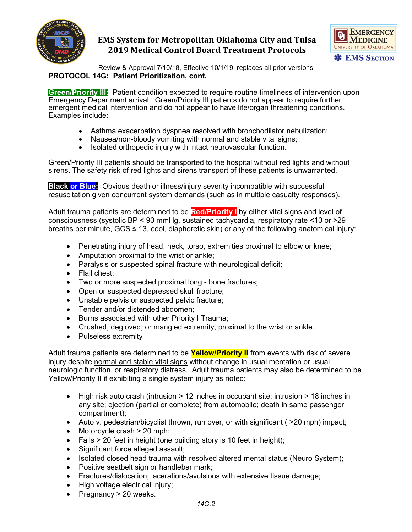



Review & Approval 7/10/18, Effective 10/1/19, replaces all prior versions **PROTOCOL 14G: Patient Prioritization, cont.**

**Green/Priority III:** Patient condition expected to require routine timeliness of intervention upon Emergency Department arrival. Green/Priority III patients do not appear to require further emergent medical intervention and do not appear to have life/organ threatening conditions. Examples include:

- Asthma exacerbation dyspnea resolved with bronchodilator nebulization;
- Nausea/non-bloody vomiting with normal and stable vital signs;
- Isolated orthopedic injury with intact neurovascular function.

Green/Priority III patients should be transported to the hospital without red lights and without sirens. The safety risk of red lights and sirens transport of these patients is unwarranted.

**Black or Blue:** Obvious death or illness/injury severity incompatible with successful resuscitation given concurrent system demands (such as in multiple casualty responses).

Adult trauma patients are determined to be **Red/Priority I** by either vital signs and level of consciousness (systolic BP < 90 mmHg, sustained tachycardia, respiratory rate <10 or >29 breaths per minute,  $GCS \leq 13$ , cool, diaphoretic skin) or any of the following anatomical injury:

- Penetrating injury of head, neck, torso, extremities proximal to elbow or knee;
- Amputation proximal to the wrist or ankle;
- Paralysis or suspected spinal fracture with neurological deficit;
- Flail chest;
- Two or more suspected proximal long bone fractures;
- Open or suspected depressed skull fracture;
- Unstable pelvis or suspected pelvic fracture;
- Tender and/or distended abdomen;
- Burns associated with other Priority I Trauma;
- Crushed, degloved, or mangled extremity, proximal to the wrist or ankle.
- Pulseless extremity

Adult trauma patients are determined to be **Yellow/Priority II** from events with risk of severe injury despite normal and stable vital signs without change in usual mentation or usual neurologic function, or respiratory distress. Adult trauma patients may also be determined to be Yellow/Priority II if exhibiting a single system injury as noted:

- $\bullet$  High risk auto crash (intrusion  $> 12$  inches in occupant site; intrusion  $> 18$  inches in any site; ejection (partial or complete) from automobile; death in same passenger compartment);
- Auto v. pedestrian/bicyclist thrown, run over, or with significant ( $>20$  mph) impact;
- Motorcycle crash > 20 mph;
- $Falls > 20$  feet in height (one building story is 10 feet in height);
- Significant force alleged assault;
- Isolated closed head trauma with resolved altered mental status (Neuro System);
- Positive seatbelt sign or handlebar mark;
- Fractures/dislocation; lacerations/avulsions with extensive tissue damage;
- High voltage electrical injury;
- Pregnancy > 20 weeks.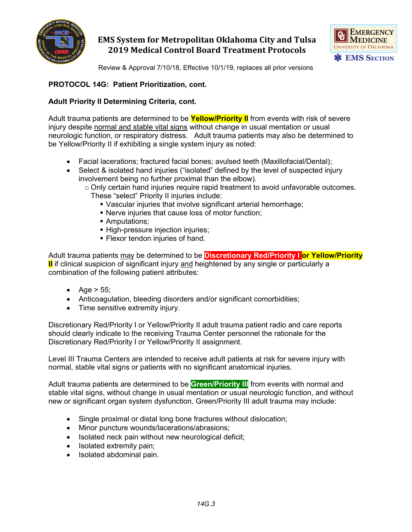



Review & Approval 7/10/18, Effective 10/1/19, replaces all prior versions

#### **PROTOCOL 14G: Patient Prioritization, cont.**

#### **Adult Priority II Determining Criteria, cont.**

Adult trauma patients are determined to be **Yellow/Priority II** from events with risk of severe injury despite normal and stable vital signs without change in usual mentation or usual neurologic function, or respiratory distress. Adult trauma patients may also be determined to be Yellow/Priority II if exhibiting a single system injury as noted:

- Facial lacerations; fractured facial bones; avulsed teeth (Maxillofacial/Dental);
- Select & isolated hand injuries ("isolated" defined by the level of suspected injury involvement being no further proximal than the elbow).
	- $\circ$  Only certain hand injuries require rapid treatment to avoid unfavorable outcomes.
		- These "select" Priority II injuries include:
			- Vascular injuries that involve significant arterial hemorrhage;
			- Nerve injuries that cause loss of motor function;
			- **Amputations;**
			- **High-pressure injection injuries;**
			- **Flexor tendon injuries of hand.**

Adult trauma patients may be determined to be **Discretionary Red/Priority I or Yellow/Priority II** if clinical suspicion of significant injury and heightened by any single or particularly a combination of the following patient attributes:

- Age  $> 55$ ;
- Anticoagulation, bleeding disorders and/or significant comorbidities;
- Time sensitive extremity injury.

Discretionary Red/Priority I or Yellow/Priority II adult trauma patient radio and care reports should clearly indicate to the receiving Trauma Center personnel the rationale for the Discretionary Red/Priority I or Yellow/Priority II assignment.

Level III Trauma Centers are intended to receive adult patients at risk for severe injury with normal, stable vital signs or patients with no significant anatomical injuries.

Adult trauma patients are determined to be **Green/Priority III** from events with normal and stable vital signs, without change in usual mentation or usual neurologic function, and without new or significant organ system dysfunction. Green/Priority III adult trauma may include:

- Single proximal or distal long bone fractures without dislocation;
- Minor puncture wounds/lacerations/abrasions;
- Isolated neck pain without new neurological deficit;
- Isolated extremity pain;
- Isolated abdominal pain.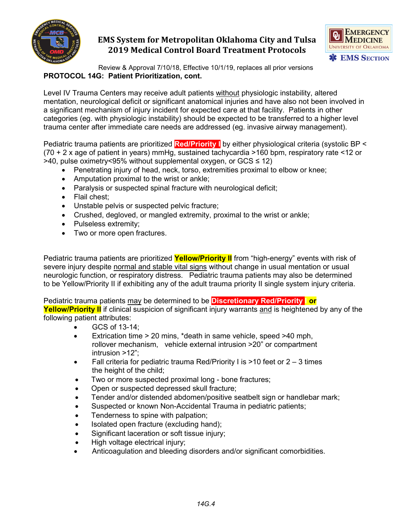



Review & Approval 7/10/18, Effective 10/1/19, replaces all prior versions **PROTOCOL 14G: Patient Prioritization, cont.**

Level IV Trauma Centers may receive adult patients without physiologic instability, altered mentation, neurological deficit or significant anatomical injuries and have also not been involved in a significant mechanism of injury incident for expected care at that facility. Patients in other categories (eg. with physiologic instability) should be expected to be transferred to a higher level trauma center after immediate care needs are addressed (eg. invasive airway management).

Pediatric trauma patients are prioritized **Red/Priority I** by either physiological criteria (systolic BP < (70 + 2 x age of patient in years) mmHg, sustained tachycardia >160 bpm, respiratory rate <12 or >40, pulse oximetry<95% without supplemental oxygen, or GCS ≤ 12)

- Penetrating injury of head, neck, torso, extremities proximal to elbow or knee;
- Amputation proximal to the wrist or ankle;
- Paralysis or suspected spinal fracture with neurological deficit;
- Flail chest:
- Unstable pelvis or suspected pelvic fracture;
- Crushed, degloved, or mangled extremity, proximal to the wrist or ankle;
- Pulseless extremity;
- Two or more open fractures.

Pediatric trauma patients are prioritized **Yellow/Priority II** from "high-energy" events with risk of severe injury despite normal and stable vital signs without change in usual mentation or usual neurologic function, or respiratory distress. Pediatric trauma patients may also be determined to be Yellow/Priority II if exhibiting any of the adult trauma priority II single system injury criteria.

Pediatric trauma patients may be determined to be **Discretionary Red/Priority I or** 

**Yellow/Priority II** if clinical suspicion of significant injury warrants and is heightened by any of the following patient attributes:

- GCS of 13-14;
- Extrication time > 20 mins, \*death in same vehicle, speed >40 mph, rollover mechanism, vehicle external intrusion >20" or compartment intrusion >12";
- Fall criteria for pediatric trauma Red/Priority I is  $>10$  feet or 2 3 times the height of the child;
- Two or more suspected proximal long bone fractures;
- Open or suspected depressed skull fracture;
- Tender and/or distended abdomen/positive seatbelt sign or handlebar mark;
- Suspected or known Non-Accidental Trauma in pediatric patients;
- Tenderness to spine with palpation;
- Isolated open fracture (excluding hand);
- Significant laceration or soft tissue injury;
- High voltage electrical injury;
- Anticoagulation and bleeding disorders and/or significant comorbidities.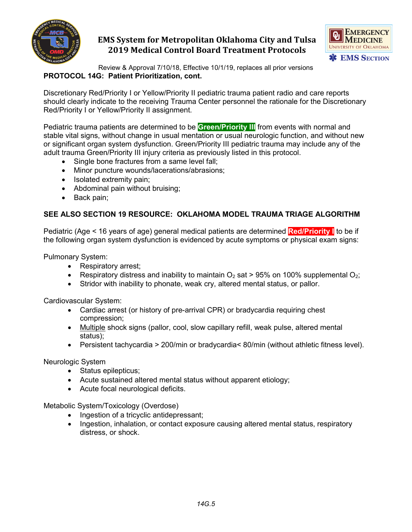



Review & Approval 7/10/18, Effective 10/1/19, replaces all prior versions **PROTOCOL 14G: Patient Prioritization, cont.**

Discretionary Red/Priority I or Yellow/Priority II pediatric trauma patient radio and care reports should clearly indicate to the receiving Trauma Center personnel the rationale for the Discretionary Red/Priority I or Yellow/Priority II assignment.

Pediatric trauma patients are determined to be **Green/Priority III** from events with normal and stable vital signs, without change in usual mentation or usual neurologic function, and without new or significant organ system dysfunction. Green/Priority III pediatric trauma may include any of the adult trauma Green/Priority III injury criteria as previously listed in this protocol.

- Single bone fractures from a same level fall;
- Minor puncture wounds/lacerations/abrasions;
- Isolated extremity pain;
- Abdominal pain without bruising;
- Back pain;

#### **SEE ALSO SECTION 19 RESOURCE: OKLAHOMA MODEL TRAUMA TRIAGE ALGORITHM**

Pediatric (Age < 16 years of age) general medical patients are determined **Red/Priority I** to be if the following organ system dysfunction is evidenced by acute symptoms or physical exam signs:

Pulmonary System:

- Respiratory arrest;
- Respiratory distress and inability to maintain  $O_2$  sat > 95% on 100% supplemental  $O_2$ ;
- Stridor with inability to phonate, weak cry, altered mental status, or pallor.

Cardiovascular System:

- Cardiac arrest (or history of pre-arrival CPR) or bradycardia requiring chest compression;
- Multiple shock signs (pallor, cool, slow capillary refill, weak pulse, altered mental status);
- Persistent tachycardia > 200/min or bradycardia< 80/min (without athletic fitness level).

Neurologic System

- Status epilepticus;
- Acute sustained altered mental status without apparent etiology;
- Acute focal neurological deficits.

Metabolic System/Toxicology (Overdose)

- Ingestion of a tricyclic antidepressant;
- Ingestion, inhalation, or contact exposure causing altered mental status, respiratory distress, or shock.